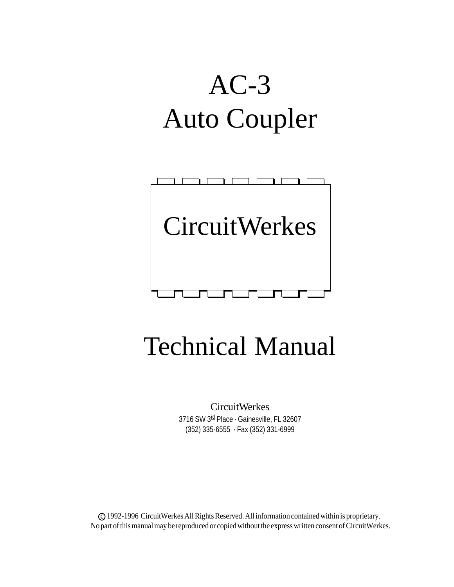# AC-3 Auto Coupler



## Technical Manual

CircuitWerkes 3716 SW 3<sup>rd</sup> Place · Gainesville, FL 32607 (352) 335-6555 · Fax (352) 331-6999

c 1992-1996 CircuitWerkes All Rights Reserved. All information contained within is proprietary. No part of this manual may be reproduced or copied without the express written consent of CircuitWerkes.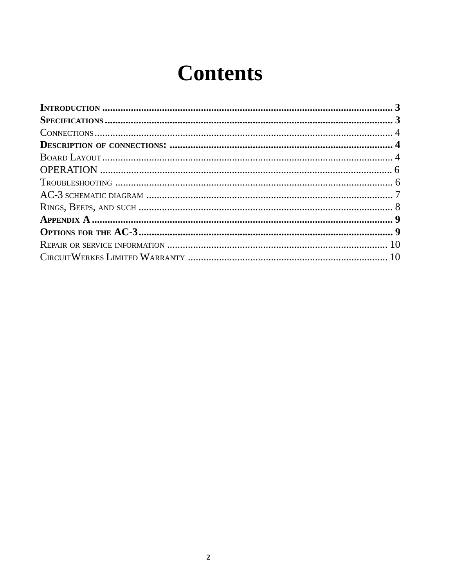## **Contents**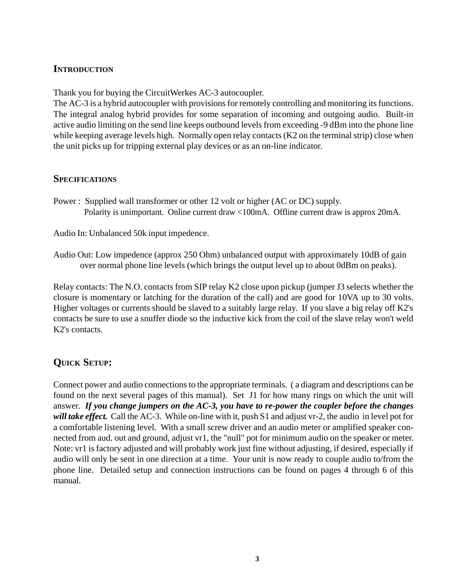#### **INTRODUCTION**

Thank you for buying the CircuitWerkes AC-3 autocoupler.

The AC-3 is a hybrid autocoupler with provisions for remotely controlling and monitoring its functions. The integral analog hybrid provides for some separation of incoming and outgoing audio. Built-in active audio limiting on the send line keeps outbound levels from exceeding -9 dBm into the phone line while keeping average levels high. Normally open relay contacts (K2 on the terminal strip) close when the unit picks up for tripping external play devices or as an on-line indicator.

#### **SPECIFICATIONS**

Power : Supplied wall transformer or other 12 volt or higher (AC or DC) supply. Polarity is unimportant. Online current draw <100mA. Offline current draw is approx 20mA.

Audio In: Unbalanced 50k input impedence.

Audio Out: Low impedence (approx 250 Ohm) unbalanced output with approximately 10dB of gain over normal phone line levels (which brings the output level up to about 0dBm on peaks).

Relay contacts: The N.O. contacts from SIP relay K2 close upon pickup (jumper J3 selects whether the closure is momentary or latching for the duration of the call) and are good for 10VA up to 30 volts. Higher voltages or currents should be slaved to a suitably large relay. If you slave a big relay off K2's contacts be sure to use a snuffer diode so the inductive kick from the coil of the slave relay won't weld K2's contacts.

#### **QUICK SETUP:**

Connect power and audio connections to the appropriate terminals. ( a diagram and descriptions can be found on the next several pages of this manual). Set J1 for how many rings on which the unit will answer. *If you change jumpers on the AC-3, you have to re-power the coupler before the changes will take effect.* Call the AC-3. While on-line with it, push S1 and adjust vr-2, the audio in level pot for a comfortable listening level. With a small screw driver and an audio meter or amplified speaker connected from aud. out and ground, adjust vr1, the "null" pot for minimum audio on the speaker or meter. Note: vr1 is factory adjusted and will probably work just fine without adjusting, if desired, especially if audio will only be sent in one direction at a time. Your unit is now ready to couple audio to/from the phone line. Detailed setup and connection instructions can be found on pages 4 through 6 of this manual.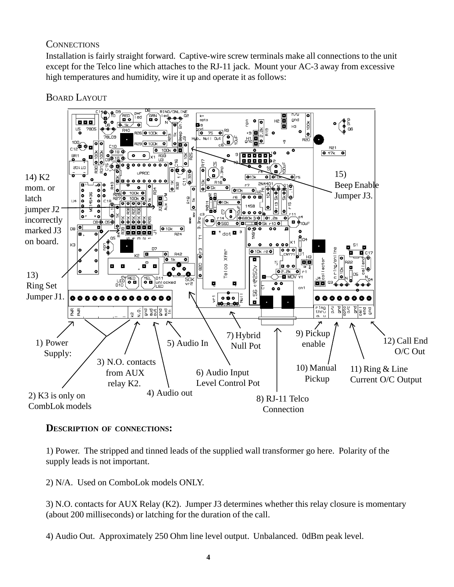#### **CONNECTIONS**

Installation is fairly straight forward. Captive-wire screw terminals make all connections to the unit except for the Telco line which attaches to the RJ-11 jack. Mount your AC-3 away from excessive high temperatures and humidity, wire it up and operate it as follows:

BOARD LAYOUT



#### **DESCRIPTION OF CONNECTIONS:**

1) Power. The stripped and tinned leads of the supplied wall transformer go here. Polarity of the supply leads is not important.

2) N/A. Used on ComboLok models ONLY.

3) N.O. contacts for AUX Relay (K2). Jumper J3 determines whether this relay closure is momentary (about 200 milliseconds) or latching for the duration of the call.

4) Audio Out. Approximately 250 Ohm line level output. Unbalanced. 0dBm peak level.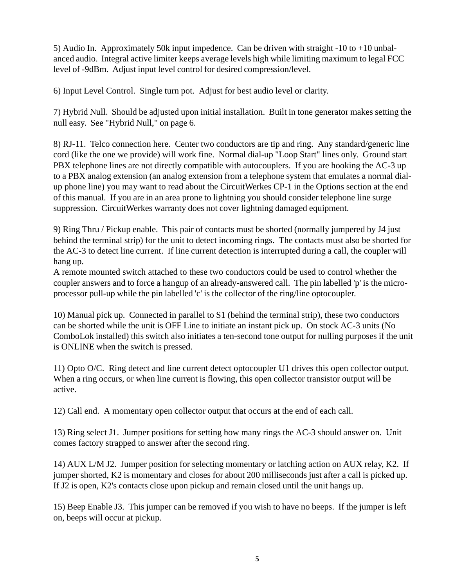5) Audio In. Approximately 50k input impedence. Can be driven with straight -10 to +10 unbalanced audio. Integral active limiter keeps average levels high while limiting maximum to legal FCC level of -9dBm. Adjust input level control for desired compression/level.

6) Input Level Control. Single turn pot. Adjust for best audio level or clarity.

7) Hybrid Null. Should be adjusted upon initial installation. Built in tone generator makes setting the null easy. See "Hybrid Null," on page 6.

8) RJ-11. Telco connection here. Center two conductors are tip and ring. Any standard/generic line cord (like the one we provide) will work fine. Normal dial-up "Loop Start" lines only. Ground start PBX telephone lines are not directly compatible with autocouplers. If you are hooking the AC-3 up to a PBX analog extension (an analog extension from a telephone system that emulates a normal dialup phone line) you may want to read about the CircuitWerkes CP-1 in the Options section at the end of this manual. If you are in an area prone to lightning you should consider telephone line surge suppression. CircuitWerkes warranty does not cover lightning damaged equipment.

9) Ring Thru / Pickup enable. This pair of contacts must be shorted (normally jumpered by J4 just behind the terminal strip) for the unit to detect incoming rings. The contacts must also be shorted for the AC-3 to detect line current. If line current detection is interrupted during a call, the coupler will hang up.

A remote mounted switch attached to these two conductors could be used to control whether the coupler answers and to force a hangup of an already-answered call. The pin labelled 'p' is the microprocessor pull-up while the pin labelled 'c' is the collector of the ring/line optocoupler.

10) Manual pick up. Connected in parallel to S1 (behind the terminal strip), these two conductors can be shorted while the unit is OFF Line to initiate an instant pick up. On stock AC-3 units (No ComboLok installed) this switch also initiates a ten-second tone output for nulling purposes if the unit is ONLINE when the switch is pressed.

11) Opto O/C. Ring detect and line current detect optocoupler U1 drives this open collector output. When a ring occurs, or when line current is flowing, this open collector transistor output will be active.

12) Call end. A momentary open collector output that occurs at the end of each call.

13) Ring select J1. Jumper positions for setting how many rings the AC-3 should answer on. Unit comes factory strapped to answer after the second ring.

14) AUX L/M J2. Jumper position for selecting momentary or latching action on AUX relay, K2. If jumper shorted, K2 is momentary and closes for about 200 milliseconds just after a call is picked up. If J2 is open, K2's contacts close upon pickup and remain closed until the unit hangs up.

15) Beep Enable J3. This jumper can be removed if you wish to have no beeps. If the jumper is left on, beeps will occur at pickup.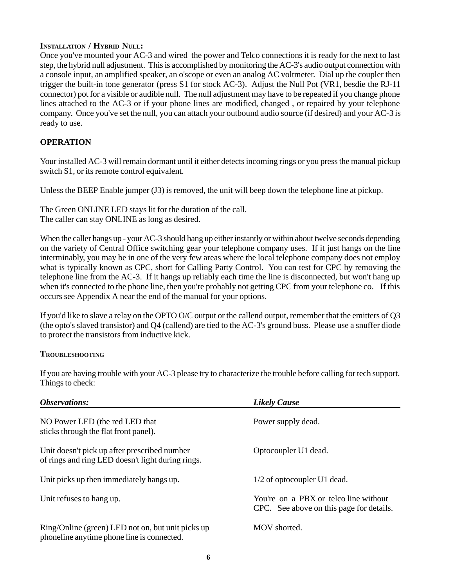#### **INSTALLATION / HYBRID NULL:**

Once you've mounted your AC-3 and wired the power and Telco connections it is ready for the next to last step, the hybrid null adjustment. This is accomplished by monitoring the AC-3's audio output connection with a console input, an amplified speaker, an o'scope or even an analog AC voltmeter. Dial up the coupler then trigger the built-in tone generator (press S1 for stock AC-3). Adjust the Null Pot (VR1, besdie the RJ-11 connector) pot for a visible or audible null. The null adjustment may have to be repeated if you change phone lines attached to the AC-3 or if your phone lines are modified, changed , or repaired by your telephone company. Once you've set the null, you can attach your outbound audio source (if desired) and your AC-3 is ready to use.

#### **OPERATION**

Your installed AC-3 will remain dormant until it either detects incoming rings or you press the manual pickup switch S1, or its remote control equivalent.

Unless the BEEP Enable jumper (J3) is removed, the unit will beep down the telephone line at pickup.

The Green ONLINE LED stays lit for the duration of the call. The caller can stay ONLINE as long as desired.

When the caller hangs up - your AC-3 should hang up either instantly or within about twelve seconds depending on the variety of Central Office switching gear your telephone company uses. If it just hangs on the line interminably, you may be in one of the very few areas where the local telephone company does not employ what is typically known as CPC, short for Calling Party Control. You can test for CPC by removing the telephone line from the AC-3. If it hangs up reliably each time the line is disconnected, but won't hang up when it's connected to the phone line, then you're probably not getting CPC from your telephone co. If this occurs see Appendix A near the end of the manual for your options.

If you'd like to slave a relay on the OPTO O/C output or the callend output, remember that the emitters of Q3 (the opto's slaved transistor) and Q4 (callend) are tied to the AC-3's ground buss. Please use a snuffer diode to protect the transistors from inductive kick.

#### **TROUBLESHOOTING**

If you are having trouble with your AC-3 please try to characterize the trouble before calling for tech support. Things to check:

| Observations:                                                                                     | <b>Likely Cause</b>                                                               |
|---------------------------------------------------------------------------------------------------|-----------------------------------------------------------------------------------|
| NO Power LED (the red LED that<br>sticks through the flat front panel).                           | Power supply dead.                                                                |
| Unit doesn't pick up after prescribed number<br>of rings and ring LED doesn't light during rings. | Optocoupler U1 dead.                                                              |
| Unit picks up then immediately hangs up.                                                          | 1/2 of optocoupler U1 dead.                                                       |
| Unit refuses to hang up.                                                                          | You're on a PBX or telco line without<br>CPC. See above on this page for details. |
| Ring/Online (green) LED not on, but unit picks up<br>phone line is connected.                     | MOV shorted.                                                                      |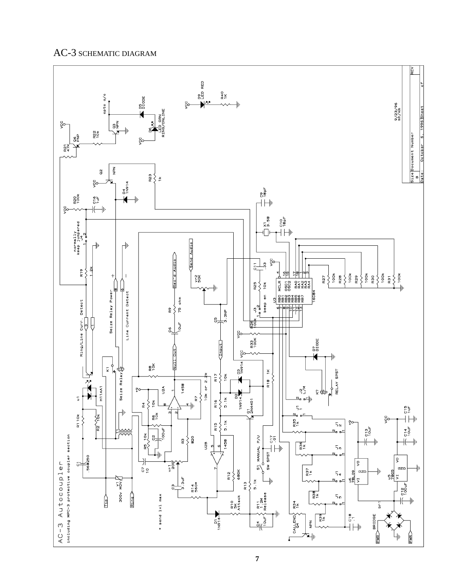#### AC-3 SCHEMATIC DIAGRAM

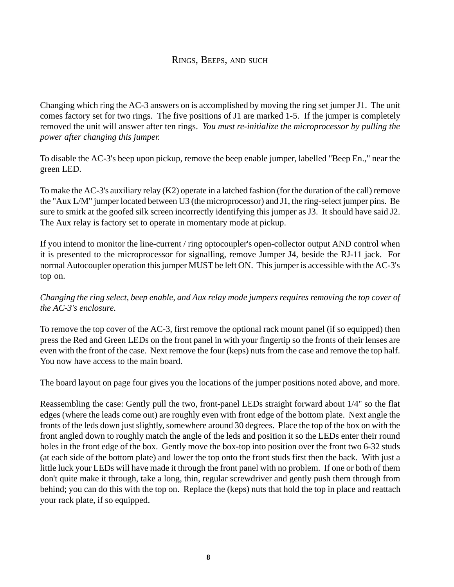#### RINGS, BEEPS, AND SUCH

Changing which ring the AC-3 answers on is accomplished by moving the ring set jumper J1. The unit comes factory set for two rings. The five positions of J1 are marked 1-5. If the jumper is completely removed the unit will answer after ten rings. *You must re-initialize the microprocessor by pulling the power after changing this jumper.*

To disable the AC-3's beep upon pickup, remove the beep enable jumper, labelled "Beep En.," near the green LED.

To make the AC-3's auxiliary relay (K2) operate in a latched fashion (for the duration of the call) remove the "Aux L/M" jumper located between U3 (the microprocessor) and J1, the ring-select jumper pins. Be sure to smirk at the goofed silk screen incorrectly identifying this jumper as J3. It should have said J2. The Aux relay is factory set to operate in momentary mode at pickup.

If you intend to monitor the line-current / ring optocoupler's open-collector output AND control when it is presented to the microprocessor for signalling, remove Jumper J4, beside the RJ-11 jack. For normal Autocoupler operation this jumper MUST be left ON. This jumper is accessible with the AC-3's top on.

*Changing the ring select, beep enable, and Aux relay mode jumpers requires removing the top cover of the AC-3's enclosure.*

To remove the top cover of the AC-3, first remove the optional rack mount panel (if so equipped) then press the Red and Green LEDs on the front panel in with your fingertip so the fronts of their lenses are even with the front of the case. Next remove the four (keps) nuts from the case and remove the top half. You now have access to the main board.

The board layout on page four gives you the locations of the jumper positions noted above, and more.

Reassembling the case: Gently pull the two, front-panel LEDs straight forward about 1/4" so the flat edges (where the leads come out) are roughly even with front edge of the bottom plate. Next angle the fronts of the leds down just slightly, somewhere around 30 degrees. Place the top of the box on with the front angled down to roughly match the angle of the leds and position it so the LEDs enter their round holes in the front edge of the box. Gently move the box-top into position over the front two 6-32 studs (at each side of the bottom plate) and lower the top onto the front studs first then the back. With just a little luck your LEDs will have made it through the front panel with no problem. If one or both of them don't quite make it through, take a long, thin, regular screwdriver and gently push them through from behind; you can do this with the top on. Replace the (keps) nuts that hold the top in place and reattach your rack plate, if so equipped.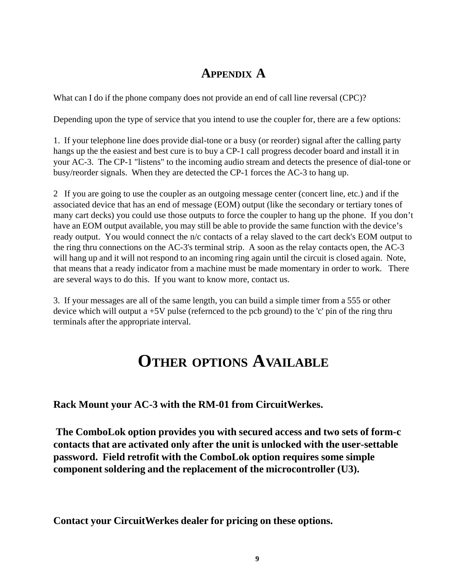### **APPENDIX A**

What can I do if the phone company does not provide an end of call line reversal (CPC)?

Depending upon the type of service that you intend to use the coupler for, there are a few options:

1. If your telephone line does provide dial-tone or a busy (or reorder) signal after the calling party hangs up the the easiest and best cure is to buy a CP-1 call progress decoder board and install it in your AC-3. The CP-1 "listens" to the incoming audio stream and detects the presence of dial-tone or busy/reorder signals. When they are detected the CP-1 forces the AC-3 to hang up.

2 If you are going to use the coupler as an outgoing message center (concert line, etc.) and if the associated device that has an end of message (EOM) output (like the secondary or tertiary tones of many cart decks) you could use those outputs to force the coupler to hang up the phone. If you don't have an EOM output available, you may still be able to provide the same function with the device's ready output. You would connect the n/c contacts of a relay slaved to the cart deck's EOM output to the ring thru connections on the AC-3's terminal strip. A soon as the relay contacts open, the AC-3 will hang up and it will not respond to an incoming ring again until the circuit is closed again. Note, that means that a ready indicator from a machine must be made momentary in order to work. There are several ways to do this. If you want to know more, contact us.

3. If your messages are all of the same length, you can build a simple timer from a 555 or other device which will output a  $+5V$  pulse (refernced to the pcb ground) to the 'c' pin of the ring thru terminals after the appropriate interval.

### **OTHER OPTIONS AVAILABLE**

**Rack Mount your AC-3 with the RM-01 from CircuitWerkes.**

**The ComboLok option provides you with secured access and two sets of form-c contacts that are activated only after the unit is unlocked with the user-settable password. Field retrofit with the ComboLok option requires some simple component soldering and the replacement of the microcontroller (U3).**

**Contact your CircuitWerkes dealer for pricing on these options.**